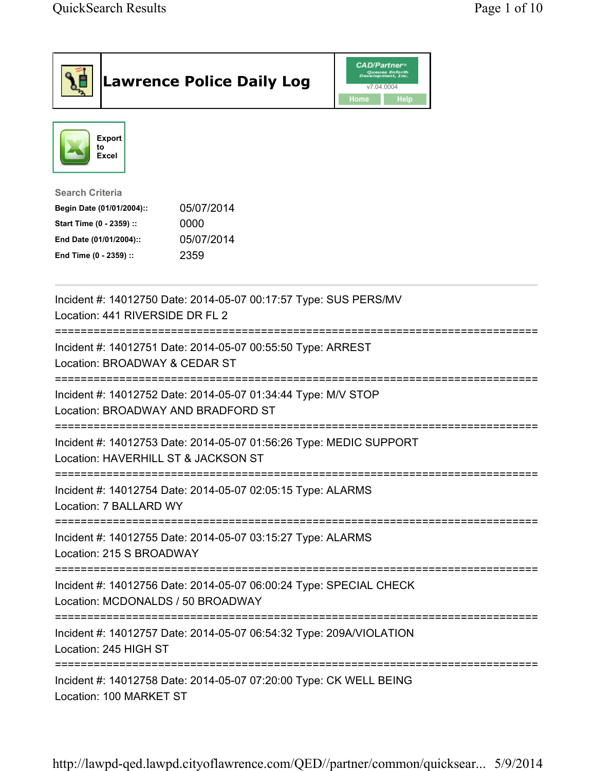| <b>Lawrence Police Daily Log</b>                                                                                                                                                 | <b>CAD/Partner</b> "<br>Queues Enforth<br>Development, Inc.<br>v7.04.0004<br>Home<br><b>Help</b> |
|----------------------------------------------------------------------------------------------------------------------------------------------------------------------------------|--------------------------------------------------------------------------------------------------|
| Export<br>to<br>Excel                                                                                                                                                            |                                                                                                  |
| <b>Search Criteria</b><br>05/07/2014<br>Begin Date (01/01/2004)::<br>Start Time (0 - 2359) ::<br>0000<br>05/07/2014<br>End Date (01/01/2004)::<br>2359<br>End Time (0 - 2359) :: |                                                                                                  |
| Incident #: 14012750 Date: 2014-05-07 00:17:57 Type: SUS PERS/MV<br>Location: 441 RIVERSIDE DR FL 2                                                                              |                                                                                                  |
| .-------------------------<br>Incident #: 14012751 Date: 2014-05-07 00:55:50 Type: ARREST<br>Location: BROADWAY & CEDAR ST                                                       |                                                                                                  |
| Incident #: 14012752 Date: 2014-05-07 01:34:44 Type: M/V STOP<br>Location: BROADWAY AND BRADFORD ST                                                                              |                                                                                                  |
| Incident #: 14012753 Date: 2014-05-07 01:56:26 Type: MEDIC SUPPORT<br>Location: HAVERHILL ST & JACKSON ST                                                                        |                                                                                                  |
| Incident #: 14012754 Date: 2014-05-07 02:05:15 Type: ALARMS<br>Location: 7 BALLARD WY                                                                                            |                                                                                                  |
| Incident #: 14012755 Date: 2014-05-07 03:15:27 Type: ALARMS<br>Location: 215 S BROADWAY                                                                                          |                                                                                                  |
| Incident #: 14012756 Date: 2014-05-07 06:00:24 Type: SPECIAL CHECK<br>Location: MCDONALDS / 50 BROADWAY                                                                          |                                                                                                  |
| Incident #: 14012757 Date: 2014-05-07 06:54:32 Type: 209A/VIOLATION<br>Location: 245 HIGH ST                                                                                     |                                                                                                  |
| Incident #: 14012758 Date: 2014-05-07 07:20:00 Type: CK WELL BEING<br>Location: 100 MARKET ST                                                                                    |                                                                                                  |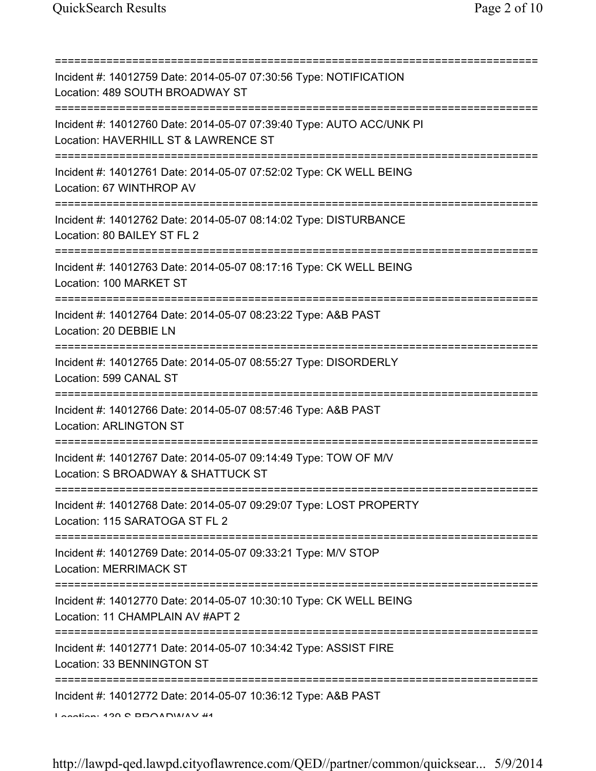| Incident #: 14012759 Date: 2014-05-07 07:30:56 Type: NOTIFICATION<br>Location: 489 SOUTH BROADWAY ST                                                                |
|---------------------------------------------------------------------------------------------------------------------------------------------------------------------|
| Incident #: 14012760 Date: 2014-05-07 07:39:40 Type: AUTO ACC/UNK PI<br>Location: HAVERHILL ST & LAWRENCE ST                                                        |
| :===============================<br>Incident #: 14012761 Date: 2014-05-07 07:52:02 Type: CK WELL BEING<br>Location: 67 WINTHROP AV                                  |
| Incident #: 14012762 Date: 2014-05-07 08:14:02 Type: DISTURBANCE<br>Location: 80 BAILEY ST FL 2                                                                     |
| Incident #: 14012763 Date: 2014-05-07 08:17:16 Type: CK WELL BEING<br>Location: 100 MARKET ST                                                                       |
| Incident #: 14012764 Date: 2014-05-07 08:23:22 Type: A&B PAST<br>Location: 20 DEBBIE LN                                                                             |
| Incident #: 14012765 Date: 2014-05-07 08:55:27 Type: DISORDERLY<br>Location: 599 CANAL ST                                                                           |
| Incident #: 14012766 Date: 2014-05-07 08:57:46 Type: A&B PAST<br><b>Location: ARLINGTON ST</b>                                                                      |
| Incident #: 14012767 Date: 2014-05-07 09:14:49 Type: TOW OF M/V<br>Location: S BROADWAY & SHATTUCK ST                                                               |
| Incident #: 14012768 Date: 2014-05-07 09:29:07 Type: LOST PROPERTY<br>Location: 115 SARATOGA ST FL 2                                                                |
| Incident #: 14012769 Date: 2014-05-07 09:33:21 Type: M/V STOP<br><b>Location: MERRIMACK ST</b>                                                                      |
| ======================================<br>---------------<br>Incident #: 14012770 Date: 2014-05-07 10:30:10 Type: CK WELL BEING<br>Location: 11 CHAMPLAIN AV #APT 2 |
| ===============================<br>Incident #: 14012771 Date: 2014-05-07 10:34:42 Type: ASSIST FIRE<br>Location: 33 BENNINGTON ST                                   |
| Incident #: 14012772 Date: 2014-05-07 10:36:12 Type: A&B PAST<br>$1$ and $1$ and $0 \cap$ $0 \cap$ $0 \cap$ $0 \cap$ $0 \cap$ $1 \cap$                              |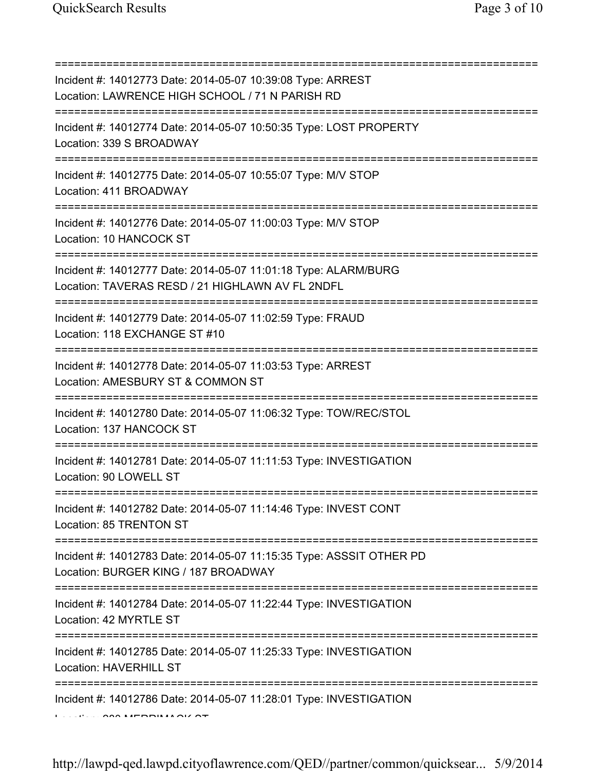| Incident #: 14012773 Date: 2014-05-07 10:39:08 Type: ARREST<br>Location: LAWRENCE HIGH SCHOOL / 71 N PARISH RD                        |
|---------------------------------------------------------------------------------------------------------------------------------------|
| Incident #: 14012774 Date: 2014-05-07 10:50:35 Type: LOST PROPERTY<br>Location: 339 S BROADWAY                                        |
| Incident #: 14012775 Date: 2014-05-07 10:55:07 Type: M/V STOP<br>Location: 411 BROADWAY<br>=============                              |
| Incident #: 14012776 Date: 2014-05-07 11:00:03 Type: M/V STOP<br>Location: 10 HANCOCK ST                                              |
| Incident #: 14012777 Date: 2014-05-07 11:01:18 Type: ALARM/BURG<br>Location: TAVERAS RESD / 21 HIGHLAWN AV FL 2NDFL                   |
| Incident #: 14012779 Date: 2014-05-07 11:02:59 Type: FRAUD<br>Location: 118 EXCHANGE ST #10                                           |
| Incident #: 14012778 Date: 2014-05-07 11:03:53 Type: ARREST<br>Location: AMESBURY ST & COMMON ST<br>================================= |
| Incident #: 14012780 Date: 2014-05-07 11:06:32 Type: TOW/REC/STOL<br>Location: 137 HANCOCK ST                                         |
| Incident #: 14012781 Date: 2014-05-07 11:11:53 Type: INVESTIGATION<br>Location: 90 LOWELL ST                                          |
| =====================<br>Incident #: 14012782 Date: 2014-05-07 11:14:46 Type: INVEST CONT<br>Location: 85 TRENTON ST                  |
| Incident #: 14012783 Date: 2014-05-07 11:15:35 Type: ASSSIT OTHER PD<br>Location: BURGER KING / 187 BROADWAY                          |
| Incident #: 14012784 Date: 2014-05-07 11:22:44 Type: INVESTIGATION<br>Location: 42 MYRTLE ST                                          |
| Incident #: 14012785 Date: 2014-05-07 11:25:33 Type: INVESTIGATION<br><b>Location: HAVERHILL ST</b>                                   |
| Incident #: 14012786 Date: 2014-05-07 11:28:01 Type: INVESTIGATION                                                                    |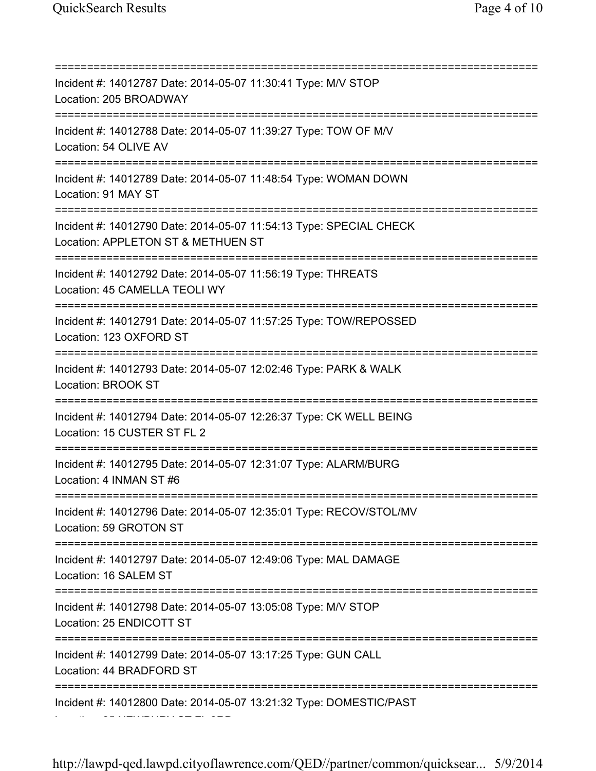=========================================================================== Incident #: 14012787 Date: 2014-05-07 11:30:41 Type: M/V STOP Location: 205 BROADWAY =========================================================================== Incident #: 14012788 Date: 2014-05-07 11:39:27 Type: TOW OF M/V Location: 54 OLIVE AV =========================================================================== Incident #: 14012789 Date: 2014-05-07 11:48:54 Type: WOMAN DOWN Location: 91 MAY ST =========================================================================== Incident #: 14012790 Date: 2014-05-07 11:54:13 Type: SPECIAL CHECK Location: APPLETON ST & METHUEN ST =========================================================================== Incident #: 14012792 Date: 2014-05-07 11:56:19 Type: THREATS Location: 45 CAMELLA TEOLI WY =========================================================================== Incident #: 14012791 Date: 2014-05-07 11:57:25 Type: TOW/REPOSSED Location: 123 OXFORD ST =========================================================================== Incident #: 14012793 Date: 2014-05-07 12:02:46 Type: PARK & WALK Location: BROOK ST =========================================================================== Incident #: 14012794 Date: 2014-05-07 12:26:37 Type: CK WELL BEING Location: 15 CUSTER ST FL 2 =========================================================================== Incident #: 14012795 Date: 2014-05-07 12:31:07 Type: ALARM/BURG Location: 4 INMAN ST #6 =========================================================================== Incident #: 14012796 Date: 2014-05-07 12:35:01 Type: RECOV/STOL/MV Location: 59 GROTON ST =========================================================================== Incident #: 14012797 Date: 2014-05-07 12:49:06 Type: MAL DAMAGE Location: 16 SALEM ST =========================================================================== Incident #: 14012798 Date: 2014-05-07 13:05:08 Type: M/V STOP Location: 25 ENDICOTT ST =========================================================================== Incident #: 14012799 Date: 2014-05-07 13:17:25 Type: GUN CALL Location: 44 BRADFORD ST =========================================================================== Incident #: 14012800 Date: 2014-05-07 13:21:32 Type: DOMESTIC/PAST Location: 85 NEWBURY ST FL 3RD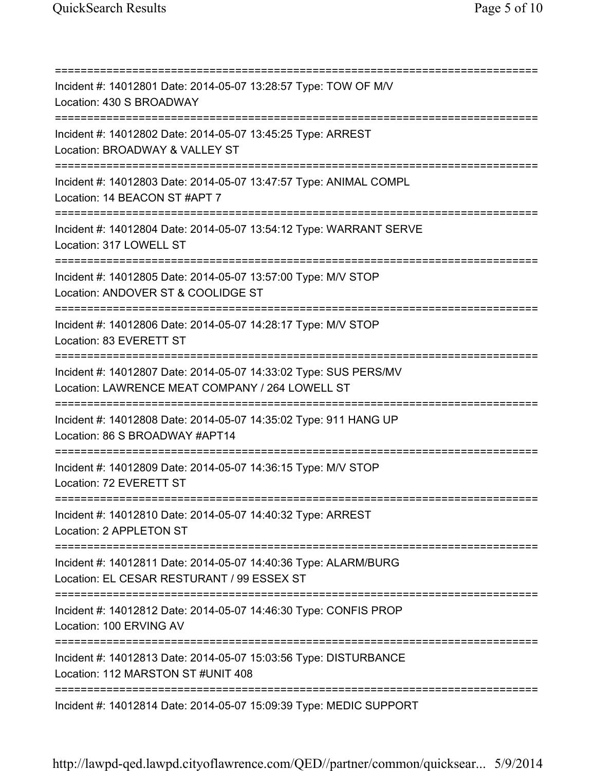=========================================================================== Incident #: 14012801 Date: 2014-05-07 13:28:57 Type: TOW OF M/V Location: 430 S BROADWAY =========================================================================== Incident #: 14012802 Date: 2014-05-07 13:45:25 Type: ARREST Location: BROADWAY & VALLEY ST =========================================================================== Incident #: 14012803 Date: 2014-05-07 13:47:57 Type: ANIMAL COMPL Location: 14 BEACON ST #APT 7 =========================================================================== Incident #: 14012804 Date: 2014-05-07 13:54:12 Type: WARRANT SERVE Location: 317 LOWELL ST =========================================================================== Incident #: 14012805 Date: 2014-05-07 13:57:00 Type: M/V STOP Location: ANDOVER ST & COOLIDGE ST =========================================================================== Incident #: 14012806 Date: 2014-05-07 14:28:17 Type: M/V STOP Location: 83 EVERETT ST =========================================================================== Incident #: 14012807 Date: 2014-05-07 14:33:02 Type: SUS PERS/MV Location: LAWRENCE MEAT COMPANY / 264 LOWELL ST =========================================================================== Incident #: 14012808 Date: 2014-05-07 14:35:02 Type: 911 HANG UP Location: 86 S BROADWAY #APT14 =========================================================================== Incident #: 14012809 Date: 2014-05-07 14:36:15 Type: M/V STOP Location: 72 EVERETT ST =========================================================================== Incident #: 14012810 Date: 2014-05-07 14:40:32 Type: ARREST Location: 2 APPLETON ST =========================================================================== Incident #: 14012811 Date: 2014-05-07 14:40:36 Type: ALARM/BURG Location: EL CESAR RESTURANT / 99 ESSEX ST =========================================================================== Incident #: 14012812 Date: 2014-05-07 14:46:30 Type: CONFIS PROP Location: 100 ERVING AV =========================================================================== Incident #: 14012813 Date: 2014-05-07 15:03:56 Type: DISTURBANCE Location: 112 MARSTON ST #UNIT 408 =========================================================================== Incident #: 14012814 Date: 2014-05-07 15:09:39 Type: MEDIC SUPPORT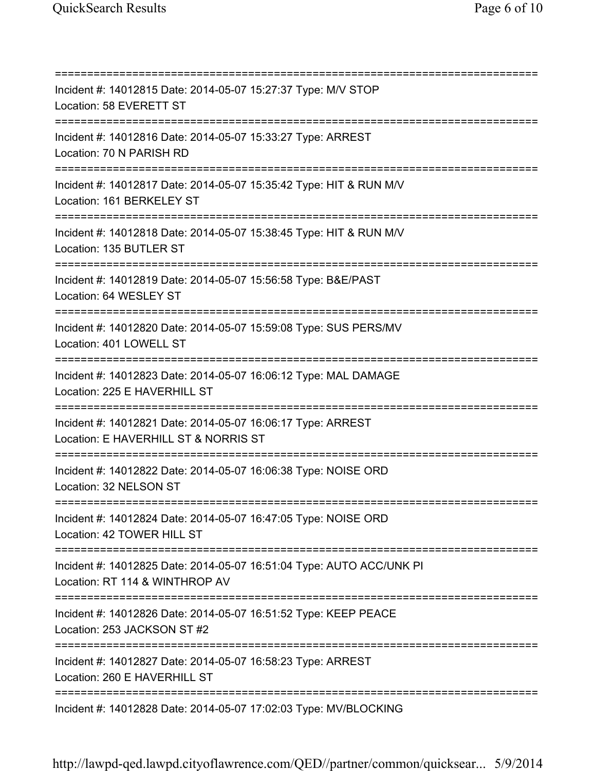=========================================================================== Incident #: 14012815 Date: 2014-05-07 15:27:37 Type: M/V STOP Location: 58 EVERETT ST =========================================================================== Incident #: 14012816 Date: 2014-05-07 15:33:27 Type: ARREST Location: 70 N PARISH RD =========================================================================== Incident #: 14012817 Date: 2014-05-07 15:35:42 Type: HIT & RUN M/V Location: 161 BERKELEY ST =========================================================================== Incident #: 14012818 Date: 2014-05-07 15:38:45 Type: HIT & RUN M/V Location: 135 BUTLER ST =========================================================================== Incident #: 14012819 Date: 2014-05-07 15:56:58 Type: B&E/PAST Location: 64 WESLEY ST =========================================================================== Incident #: 14012820 Date: 2014-05-07 15:59:08 Type: SUS PERS/MV Location: 401 LOWELL ST =========================================================================== Incident #: 14012823 Date: 2014-05-07 16:06:12 Type: MAL DAMAGE Location: 225 E HAVERHILL ST =========================================================================== Incident #: 14012821 Date: 2014-05-07 16:06:17 Type: ARREST Location: E HAVERHILL ST & NORRIS ST =========================================================================== Incident #: 14012822 Date: 2014-05-07 16:06:38 Type: NOISE ORD Location: 32 NELSON ST =========================================================================== Incident #: 14012824 Date: 2014-05-07 16:47:05 Type: NOISE ORD Location: 42 TOWER HILL ST =========================================================================== Incident #: 14012825 Date: 2014-05-07 16:51:04 Type: AUTO ACC/UNK PI Location: RT 114 & WINTHROP AV =========================================================================== Incident #: 14012826 Date: 2014-05-07 16:51:52 Type: KEEP PEACE Location: 253 JACKSON ST #2 =========================================================================== Incident #: 14012827 Date: 2014-05-07 16:58:23 Type: ARREST Location: 260 E HAVERHILL ST =========================================================================== Incident #: 14012828 Date: 2014-05-07 17:02:03 Type: MV/BLOCKING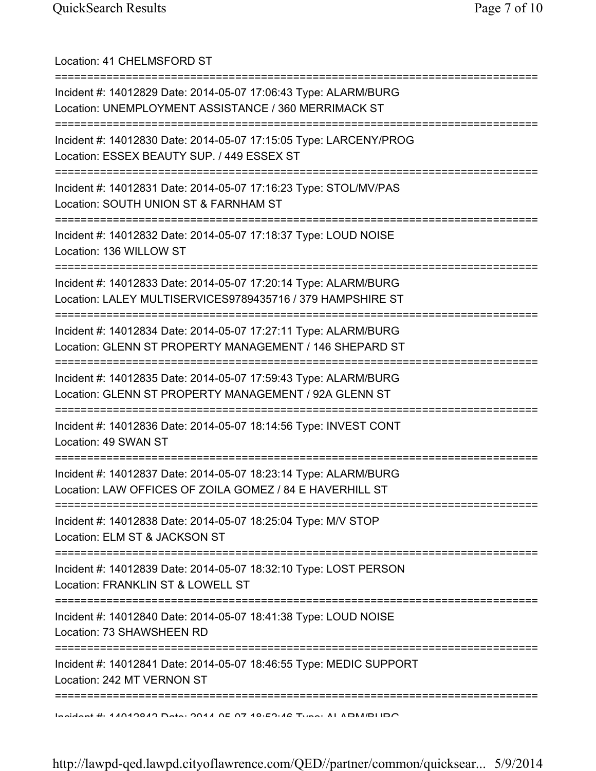| Location: 41 CHELMSFORD ST                                                                                                          |
|-------------------------------------------------------------------------------------------------------------------------------------|
| Incident #: 14012829 Date: 2014-05-07 17:06:43 Type: ALARM/BURG<br>Location: UNEMPLOYMENT ASSISTANCE / 360 MERRIMACK ST             |
| Incident #: 14012830 Date: 2014-05-07 17:15:05 Type: LARCENY/PROG<br>Location: ESSEX BEAUTY SUP. / 449 ESSEX ST                     |
| Incident #: 14012831 Date: 2014-05-07 17:16:23 Type: STOL/MV/PAS<br>Location: SOUTH UNION ST & FARNHAM ST<br>---------------------- |
| Incident #: 14012832 Date: 2014-05-07 17:18:37 Type: LOUD NOISE<br>Location: 136 WILLOW ST                                          |
| Incident #: 14012833 Date: 2014-05-07 17:20:14 Type: ALARM/BURG<br>Location: LALEY MULTISERVICES9789435716 / 379 HAMPSHIRE ST       |
| Incident #: 14012834 Date: 2014-05-07 17:27:11 Type: ALARM/BURG<br>Location: GLENN ST PROPERTY MANAGEMENT / 146 SHEPARD ST          |
| Incident #: 14012835 Date: 2014-05-07 17:59:43 Type: ALARM/BURG<br>Location: GLENN ST PROPERTY MANAGEMENT / 92A GLENN ST            |
| Incident #: 14012836 Date: 2014-05-07 18:14:56 Type: INVEST CONT<br>Location: 49 SWAN ST                                            |
| Incident #: 14012837 Date: 2014-05-07 18:23:14 Type: ALARM/BURG<br>Location: LAW OFFICES OF ZOILA GOMEZ / 84 E HAVERHILL ST         |
| Incident #: 14012838 Date: 2014-05-07 18:25:04 Type: M/V STOP<br>Location: ELM ST & JACKSON ST                                      |
| Incident #: 14012839 Date: 2014-05-07 18:32:10 Type: LOST PERSON<br>Location: FRANKLIN ST & LOWELL ST                               |
| Incident #: 14012840 Date: 2014-05-07 18:41:38 Type: LOUD NOISE<br>Location: 73 SHAWSHEEN RD                                        |
| Incident #: 14012841 Date: 2014-05-07 18:46:55 Type: MEDIC SUPPORT<br>Location: 242 MT VERNON ST                                    |
| <u>Incident #: 4 AN490A9 Dete: 904 A NE N7 40.59.46 Tune: ALADMADIJDO</u>                                                           |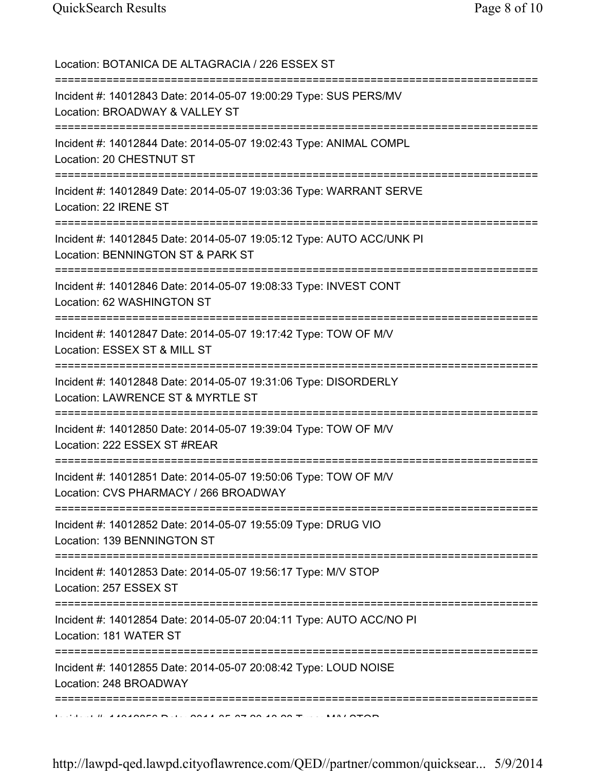Location: BOTANICA DE ALTAGRACIA / 226 ESSEX ST =========================================================================== Incident #: 14012843 Date: 2014-05-07 19:00:29 Type: SUS PERS/MV Location: BROADWAY & VALLEY ST =========================================================================== Incident #: 14012844 Date: 2014-05-07 19:02:43 Type: ANIMAL COMPL Location: 20 CHESTNUT ST =========================================================================== Incident #: 14012849 Date: 2014-05-07 19:03:36 Type: WARRANT SERVE Location: 22 IRENE ST =========================================================================== Incident #: 14012845 Date: 2014-05-07 19:05:12 Type: AUTO ACC/UNK PI Location: BENNINGTON ST & PARK ST =========================================================================== Incident #: 14012846 Date: 2014-05-07 19:08:33 Type: INVEST CONT Location: 62 WASHINGTON ST =========================================================================== Incident #: 14012847 Date: 2014-05-07 19:17:42 Type: TOW OF M/V Location: ESSEX ST & MILL ST =========================================================================== Incident #: 14012848 Date: 2014-05-07 19:31:06 Type: DISORDERLY Location: LAWRENCE ST & MYRTLE ST =========================================================================== Incident #: 14012850 Date: 2014-05-07 19:39:04 Type: TOW OF M/V Location: 222 ESSEX ST #REAR =========================================================================== Incident #: 14012851 Date: 2014-05-07 19:50:06 Type: TOW OF M/V Location: CVS PHARMACY / 266 BROADWAY =========================================================================== Incident #: 14012852 Date: 2014-05-07 19:55:09 Type: DRUG VIO Location: 139 BENNINGTON ST =========================================================================== Incident #: 14012853 Date: 2014-05-07 19:56:17 Type: M/V STOP Location: 257 ESSEX ST =========================================================================== Incident #: 14012854 Date: 2014-05-07 20:04:11 Type: AUTO ACC/NO PI Location: 181 WATER ST =========================================================================== Incident #: 14012855 Date: 2014-05-07 20:08:42 Type: LOUD NOISE Location: 248 BROADWAY ===========================================================================  $10.4010070$  D.I. 0011 05 07 00 10 00 T.I. MAIOTOD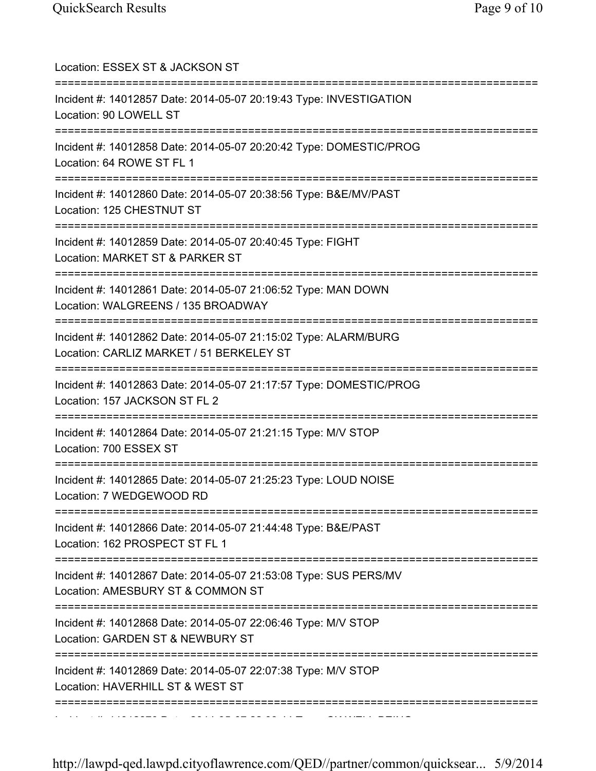| Location: ESSEX ST & JACKSON ST<br>====================                                                                                |
|----------------------------------------------------------------------------------------------------------------------------------------|
| Incident #: 14012857 Date: 2014-05-07 20:19:43 Type: INVESTIGATION<br>Location: 90 LOWELL ST                                           |
| Incident #: 14012858 Date: 2014-05-07 20:20:42 Type: DOMESTIC/PROG<br>Location: 64 ROWE ST FL 1                                        |
| Incident #: 14012860 Date: 2014-05-07 20:38:56 Type: B&E/MV/PAST<br>Location: 125 CHESTNUT ST                                          |
| Incident #: 14012859 Date: 2014-05-07 20:40:45 Type: FIGHT<br>Location: MARKET ST & PARKER ST<br>===================================== |
| Incident #: 14012861 Date: 2014-05-07 21:06:52 Type: MAN DOWN<br>Location: WALGREENS / 135 BROADWAY                                    |
| Incident #: 14012862 Date: 2014-05-07 21:15:02 Type: ALARM/BURG<br>Location: CARLIZ MARKET / 51 BERKELEY ST                            |
| Incident #: 14012863 Date: 2014-05-07 21:17:57 Type: DOMESTIC/PROG<br>Location: 157 JACKSON ST FL 2                                    |
| Incident #: 14012864 Date: 2014-05-07 21:21:15 Type: M/V STOP<br>Location: 700 ESSEX ST                                                |
| Incident #: 14012865 Date: 2014-05-07 21:25:23 Type: LOUD NOISE<br>Location: 7 WEDGEWOOD RD                                            |
| Incident #: 14012866 Date: 2014-05-07 21:44:48 Type: B&E/PAST<br>Location: 162 PROSPECT ST FL 1                                        |
| Incident #: 14012867 Date: 2014-05-07 21:53:08 Type: SUS PERS/MV<br>Location: AMESBURY ST & COMMON ST                                  |
| Incident #: 14012868 Date: 2014-05-07 22:06:46 Type: M/V STOP<br>Location: GARDEN ST & NEWBURY ST                                      |
| Incident #: 14012869 Date: 2014-05-07 22:07:38 Type: M/V STOP<br>Location: HAVERHILL ST & WEST ST                                      |
|                                                                                                                                        |

Incident #: 14012870 Date: 2014 05 07 22:09:44 Type: CK WELL BEING